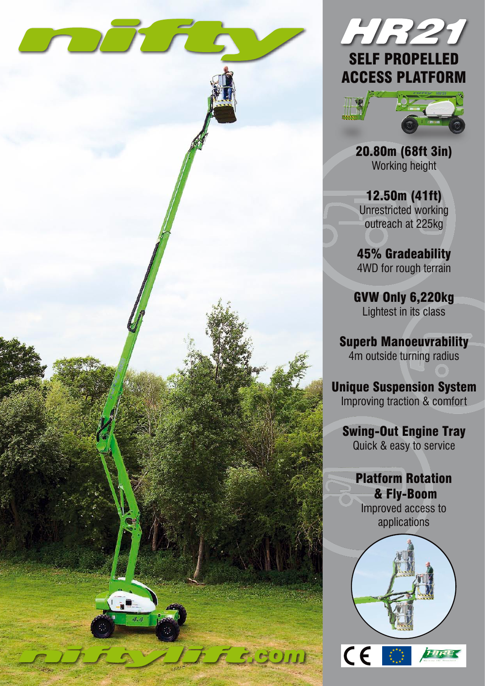



20.80m (68ft 3in) Working height

12.50m (41ft) Unrestricted working outreach at 225kg

45% Gradeability 4WD for rough terrain

GVW Only 6,220kg Lightest in its class

Superb Manoeuvrability 4m outside turning radius

Unique Suspension System Improving traction & comfort

Swing-Out Engine Tray Quick & easy to service

Platform Rotation & Fly-Boom Improved access to applications